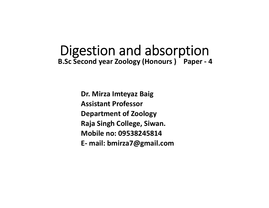# Digestion and absorption **B.Sc Second year Zoology (Honours ) Paper ‐ 4**

**Dr. Mirza Imteyaz Baig Assistant ProfessorDepartment of Zoology Raja Singh College, Siwan. Mobile no: 09538245814E‐ mail: bmirza7@gmail.com**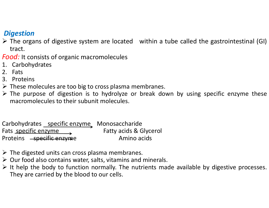### *Digestion*

- The organs of digestive system are located within <sup>a</sup> tube called the gastrointestinal (GI) tract.
- *Food:* It consists of organic macromolecules
- 1. Carbohydrates
- 2. Fats
- 3. Proteins
- $\triangleright$  These molecules are too big to cross plasma membranes.
- $\triangleright$  The purpose of digestion is to hydrolyze or break down by using specific enzyme these macromolecules to their subunit molecules.

Carbohydrates specific enzyme Monosaccharide Fats specific enzyme Contact Fatty acids & Glycerol Proteins <del>- specific enzyme</del> Amino acids

- $\triangleright$  The digested units can cross plasma membranes.
- $\triangleright$  Our food also contains water, salts, vitamins and minerals.
- $\triangleright$  It help the body to function normally. The nutrients made available by digestive processes. They are carried by the blood to our cells.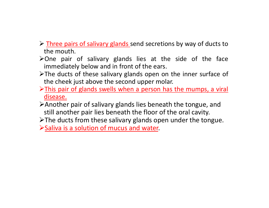$\triangleright$  Three pairs of salivary glands send secretions by way of ducts to the mouth.

- $\triangleright$  One pair of salivary glands lies at the side of the face immediately below and in front of the ears.
- $\triangleright$ The ducts of these salivary glands open on the inner surface of the cheek just above the second upper molar.
- $\triangleright$ This pair of glands swells when a person has the mumps, a viral disease.
- Another pair of salivary glands lies beneath the tongue, and still another pair lies beneath the floor of the oral cavity.
- $\triangleright$ The ducts from these salivary glands open under the tongue.

 $\triangleright$  Saliva is a solution of mucus and water.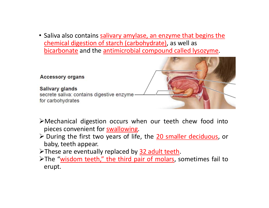• Saliva also contains salivary amylase, an enzyme that begins the chemical digestion of starch (carbohydrate), as well as bicarbonate and the antimicrobial compound called lysozyme.



- Mechanical digestion occurs when our teeth chew food into pieces convenient for **swallowing**.
- > During the first two years of life, the 20 smaller deciduous, or baby, teeth appear.
- > These are eventually replaced by 32 adult teeth.
- > The "wisdom teeth," the third pair of molars, sometimes fail to erupt.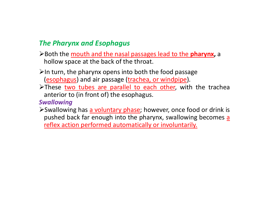### *The Pharynx and Esophagus*

- Both the mouth and the nasal passages lead to the **pharynx,** <sup>a</sup> hollow space at the back of the throat.
- $\triangleright$ In turn, the pharynx opens into both the food passage (esophagus) and air passage (trachea, or windpipe).
- >These two tubes are parallel to each other, with the trachea anterior to (in front of) the esophagus.

*Swallowing*

Swallowing has a voluntary phase; however, once food or drink is pushed back far enough into the pharynx, swallowing becomes <u>a</u> reflex action performed automatically or involuntarily.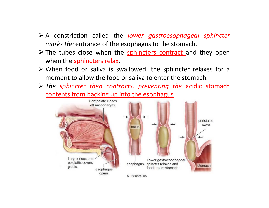- A constriction called the *lower gastroesophageal sphincter marks the* entrance of the esophagus to the stomach.
- $\triangleright$  The tubes close when the sphincters contract and they open when the sphincters relax.
- When food or saliva is swallowed, the sphincter relaxes for <sup>a</sup> moment to allow the food or saliva to enter the stomach.
- *The sphincter then contracts, preventing the* acidic stomach contents from backing up into the esophagus.

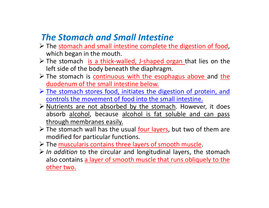## *The Stomach and Small Intestine*

- > The stomach and small intestine complete the digestion of food, which began in the mouth.
- > The stomach is a thick-walled, J-shaped organ that lies on the left side of the body beneath the diaphragm.
- > The stomach is continuous with the esophagus above and the duodenum of the small intestine below.
- The stomach stores food, initiates the digestion of protein, and controls the movement of food into the small intestine.
- > Nutrients are not absorbed by the stomach. However, it does absorb alcohol, because alcohol is fat soluble and can pass through membranes easily.
- $\triangleright$  The stomach wall has the usual four layers, but two of them are modified for particular functions.
- > The muscularis contains three layers of smooth muscle.
- *In addition* to the circular and longitudinal layers, the stomach also contains <sup>a</sup> layer of smooth muscle that runs obliquely to the other two.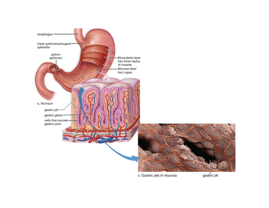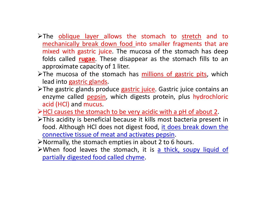- >The <u>oblique layer allows</u> the stomach to stretch and to mechanically break down food into smaller fragments that are mixed with gastric juice. The mucosa of the stomach has deep folds called **rugae**. These disappear as the stomach fills to an approximate capacity of 1 liter.
- $\triangleright$ The mucosa of the stomach has millions of gastric pits, which lead into gastric glands.
- > The gastric glands produce gastric juice. Gastric juice contains an enzyme called pepsin, which digests protein, plus hydrochloric acid (HCl) and mucus.
- $\triangleright$  HCl causes the stomach to be very acidic with a pH of about 2.
- This acidity is beneficial because it kills most bacteria present in food. Although HCl does not digest food, it does break down the connective tissue of meat and activates pepsin.
- Normally, the stomach empties in about 2 to 6 hours.
- >When food leaves the stomach, it is a thick, soupy liquid of partially digested food called chyme.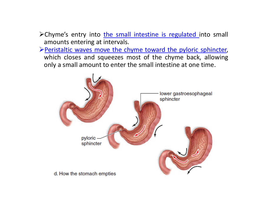- > Chyme's entry into the small intestine is regulated into small amounts entering at intervals.
- Peristaltic waves move the chyme toward the pyloric sphincter, which closes and squeezes most of the chyme back, allowing only <sup>a</sup> small amount to enter the small intestine at one time.

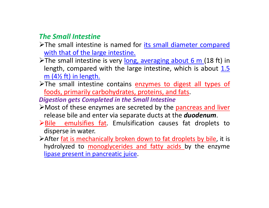#### *The Small Intestine*

- >The small intestine is named for *its small diameter compared* with that of the large intestine.
- The small intestine is very long, averaging about 6 m (18 ft) in length, compared with the large intestine, which is about  $1.5$ m  $(4\frac{1}{2}$  ft) in length.
- >The small intestine contains enzymes to digest all types of foods, primarily carbohydrates, proteins, and fats.

*Digestion gets Completed in the Small Intestine*

- Most of these enzymes are secreted by the pancreas and liver release bile and enter via separate ducts at the *duodenum*.
- Bile emulsifies fat. Emulsification causes fat droplets to disperse in water.
- >After <u>fat is mechanically broken down to fat droplets by bile</u>, it is hydrolyzed to monoglycerides and fatty acids by the enzyme lipase present in pancreatic juice.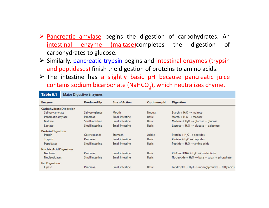- $\triangleright$  Pancreatic amylase begins the digestion of carbohydrates. An intestinal enzyme (maltase)completes the digestion of carbohydrates to glucose.
- > Similarly, pancreatic trypsin begins and intestinal enzymes (trypsin and peptidases) finish the digestion of proteins to amino acids.
- $\triangleright$  The intestine has a slightly basic pH because pancreatic juice contains sodium bicarbonate (NaHCO<sub>3</sub>), which neutralizes chyme.

| Table 8.1                     | <b>Major Digestive Enzymes</b> |                    |                       |                |                                                                |
|-------------------------------|--------------------------------|--------------------|-----------------------|----------------|----------------------------------------------------------------|
| <b>Enzyme</b>                 |                                | <b>Produced By</b> | <b>Site of Action</b> | Optimum pH     | <b>Digestion</b>                                               |
| <b>Carbohydrate Digestion</b> |                                |                    |                       |                |                                                                |
| Salivary amylase              |                                | Salivary glands    | Mouth                 | <b>Neutral</b> | Starch + $H_2O \rightarrow$ maltose                            |
| Pancreatic amylase            |                                | Pancreas           | Small intestine       | <b>Basic</b>   | Starch + $H_2O \rightarrow$ maltose                            |
| Maltase                       |                                | Small intestine    | Small intestine       | <b>Basic</b>   | Maltose + $H_2O \rightarrow$ glucose + glucose                 |
| Lactase                       |                                | Small intestine    | Small intestine       | <b>Basic</b>   | Lactose + $H_2O \rightarrow$ glucose + galactose               |
| <b>Protein Digestion</b>      |                                |                    |                       |                |                                                                |
| Pepsin                        |                                | Gastric glands     | Stomach               | Acidic         | Protein $+ H2O \rightarrow$ peptides                           |
| <b>Trypsin</b>                |                                | <b>Pancreas</b>    | Small intestine       | <b>Basic</b>   | Protein + $H_2O \rightarrow$ peptides                          |
| <b>Peptidases</b>             |                                | Small intestine    | Small intestine       | <b>Basic</b>   | Peptide + $H_2O \rightarrow$ amino acids                       |
| <b>Nucleic Acid Digestion</b> |                                |                    |                       |                |                                                                |
| <b>Nuclease</b>               |                                | Pancreas           | Small intestine       | <b>Basic</b>   | RNA and DNA + $H_2O \rightarrow$ nucleotides                   |
| <b>Nucleosidases</b>          |                                | Small intestine    | Small intestine       | <b>Basic</b>   | Nucleotide + $H_2O \rightarrow$ base + sugar + phosphate       |
| <b>Fat Digestion</b>          |                                |                    |                       |                |                                                                |
| Lipase                        |                                | <b>Pancreas</b>    | Small intestine       | <b>Basic</b>   | Fat droplet $+ H2O \rightarrow$ monoglycerides $+$ fatty acids |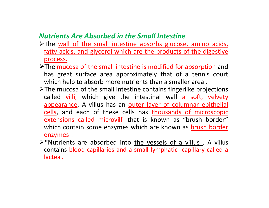### *Nutrients Are Absorbed in the Small Intestine*

- >The wall of the small intestine absorbs glucose, amino acids, fatty acids, and glycerol which are the products of the digestive process.
- The mucosa of the small intestine is modified for absorption and has great surface area approximately that of <sup>a</sup> tennis court which help to absorb more nutrients than a smaller area.
- $\triangleright$ The mucosa of the small intestine contains fingerlike projections called <u>villi,</u> which give the intestinal wall <u>a soft, velvety</u> appearance. A villus has an outer layer of columnar epithelial cells, and each of these cells has thousands of microscopic extensions called microvilli that is known as "brush border" which contain some enzymes which are known as brush border enzymes .
- $\triangleright^*$ Nutrients are absorbed into the vessels of a villus . A villus contains *blood capillaries and a small lymphatic capillary called a* lacteal.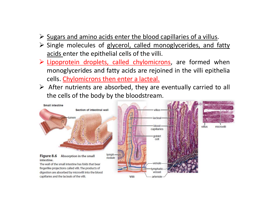- $\triangleright$  Sugars and amino acids enter the blood capillaries of a villus.
- $\triangleright$  Single molecules of glycerol, called monoglycerides, and fatty acids enter the epithelial cells of the villi.
- > Lipoprotein droplets, called chylomicrons, are formed when monoglycerides and fatty acids are rejoined in the villi epithelia cells. <u>Chylomicrons then enter a lacteal.</u>
- $\triangleright$  After nutrients are absorbed, they are eventually carried to all the cells of the body by the bloodstream.